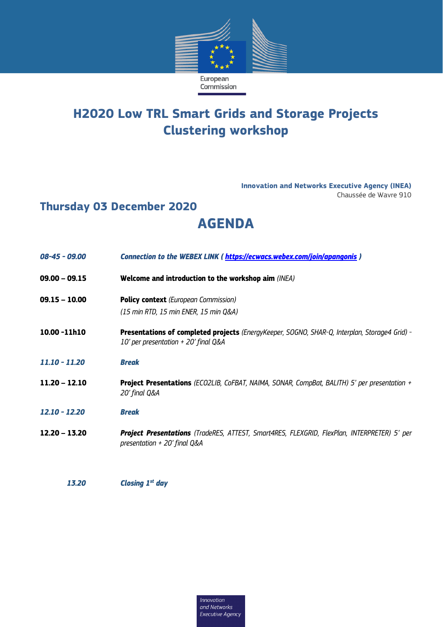

## **H2020 Low TRL Smart Grids and Storage Projects Clustering workshop**

**Innovation and Networks Executive Agency (INEA)** Chaussée de Wavre 910

## **Thursday 03 December 2020 AGENDA**

| 08-45 - 09.00   | Connection to the WEBEX LINK (https://ecwacs.webex.com/join/apangonis)                                                                |
|-----------------|---------------------------------------------------------------------------------------------------------------------------------------|
| $09.00 - 09.15$ | Welcome and introduction to the workshop aim (INEA)                                                                                   |
| $09.15 - 10.00$ | <b>Policy context</b> (European Commission)                                                                                           |
|                 | (15 min RTD, 15 min ENER, 15 min Q&A)                                                                                                 |
| 10.00 -11h10    | Presentations of completed projects (EnergyKeeper, SOGNO, SHAR-Q, Interplan, Storage4 Grid) -<br>10' per presentation + 20' final Q&A |
| $11.10 - 11.20$ | <b>Break</b>                                                                                                                          |
| $11.20 - 12.10$ | <b>Project Presentations</b> (ECO2LIB, CoFBAT, NAIMA, SONAR, CompBat, BALITH) 5' per presentation +<br>20' final Q&A                  |
| $12.10 - 12.20$ | <b>Break</b>                                                                                                                          |
| $12.20 - 13.20$ | <b>Project Presentations</b> (TradeRES, ATTEST, Smart4RES, FLEXGRID, FlexPlan, INTERPRETER) 5' per<br>presentation $+$ 20' final Q&A  |
|                 |                                                                                                                                       |
|                 |                                                                                                                                       |

*13.20 Closing 1st day*